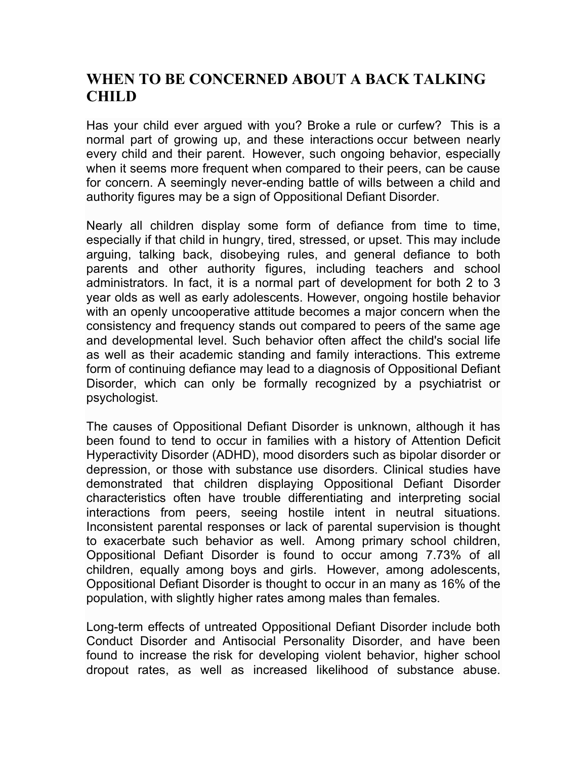## **WHEN TO BE CONCERNED ABOUT A BACK TALKING CHILD**

Has your child ever argued with you? Broke a rule or curfew? This is a normal part of growing up, and these interactions occur between nearly every child and their parent. However, such ongoing behavior, especially when it seems more frequent when compared to their peers, can be cause for concern. A seemingly never-ending battle of wills between a child and authority figures may be a sign of Oppositional Defiant Disorder.

Nearly all children display some form of defiance from time to time, especially if that child in hungry, tired, stressed, or upset. This may include arguing, talking back, disobeying rules, and general defiance to both parents and other authority figures, including teachers and school administrators. In fact, it is a normal part of development for both 2 to 3 year olds as well as early adolescents. However, ongoing hostile behavior with an openly uncooperative attitude becomes a major concern when the consistency and frequency stands out compared to peers of the same age and developmental level. Such behavior often affect the child's social life as well as their academic standing and family interactions. This extreme form of continuing defiance may lead to a diagnosis of Oppositional Defiant Disorder, which can only be formally recognized by a psychiatrist or psychologist.

The causes of Oppositional Defiant Disorder is unknown, although it has been found to tend to occur in families with a history of Attention Deficit Hyperactivity Disorder (ADHD), mood disorders such as bipolar disorder or depression, or those with substance use disorders. Clinical studies have demonstrated that children displaying Oppositional Defiant Disorder characteristics often have trouble differentiating and interpreting social interactions from peers, seeing hostile intent in neutral situations. Inconsistent parental responses or lack of parental supervision is thought to exacerbate such behavior as well. Among primary school children, Oppositional Defiant Disorder is found to occur among 7.73% of all children, equally among boys and girls. However, among adolescents, Oppositional Defiant Disorder is thought to occur in an many as 16% of the population, with slightly higher rates among males than females.

Long-term effects of untreated Oppositional Defiant Disorder include both Conduct Disorder and Antisocial Personality Disorder, and have been found to increase the risk for developing violent behavior, higher school dropout rates, as well as increased likelihood of substance abuse.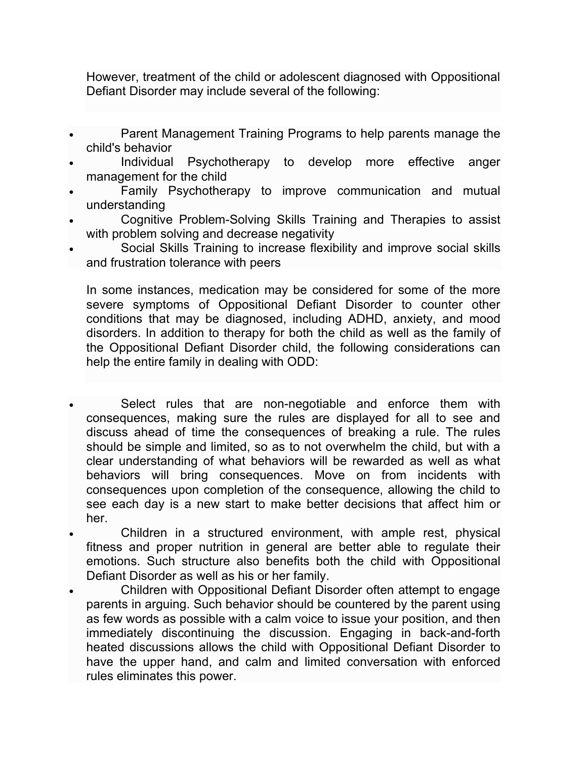However, treatment of the child or adolescent diagnosed with Oppositional Defiant Disorder may include several of the following:

- Parent Management Training Programs to help parents manage the child's behavior
- Individual Psychotherapy to develop more effective anger management for the child
- Family Psychotherapy to improve communication and mutual understanding
- Cognitive Problem-Solving Skills Training and Therapies to assist with problem solving and decrease negativity
- Social Skills Training to increase flexibility and improve social skills and frustration tolerance with peers

In some instances, medication may be considered for some of the more severe symptoms of Oppositional Defiant Disorder to counter other conditions that may be diagnosed, including ADHD, anxiety, and mood disorders. In addition to therapy for both the child as well as the family of the Oppositional Defiant Disorder child, the following considerations can help the entire family in dealing with ODD:

- Select rules that are non-negotiable and enforce them with consequences, making sure the rules are displayed for all to see and discuss ahead of time the consequences of breaking a rule. The rules should be simple and limited, so as to not overwhelm the child, but with a clear understanding of what behaviors will be rewarded as well as what behaviors will bring consequences. Move on from incidents with consequences upon completion of the consequence, allowing the child to see each day is a new start to make better decisions that affect him or her.
- Children in a structured environment, with ample rest, physical fitness and proper nutrition in general are better able to regulate their emotions. Such structure also benefits both the child with Oppositional Defiant Disorder as well as his or her family.
- Children with Oppositional Defiant Disorder often attempt to engage parents in arguing. Such behavior should be countered by the parent using as few words as possible with a calm voice to issue your position, and then immediately discontinuing the discussion. Engaging in back-and-forth heated discussions allows the child with Oppositional Defiant Disorder to have the upper hand, and calm and limited conversation with enforced rules eliminates this power.